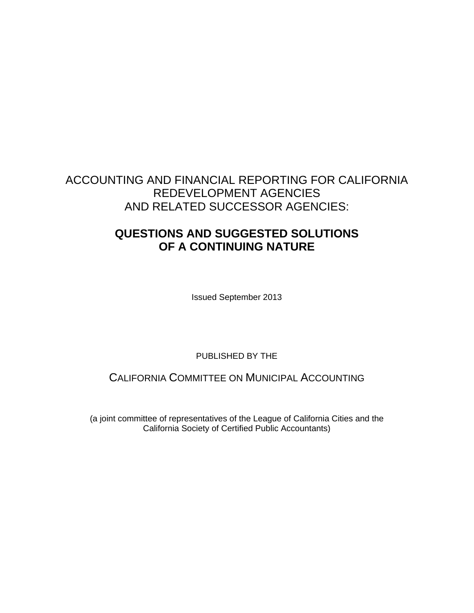# **QUESTIONS AND SUGGESTED SOLUTIONS OF A CONTINUING NATURE**

Issued September 2013

PUBLISHED BY THE

CALIFORNIA COMMITTEE ON MUNICIPAL ACCOUNTING

(a joint committee of representatives of the League of California Cities and the California Society of Certified Public Accountants)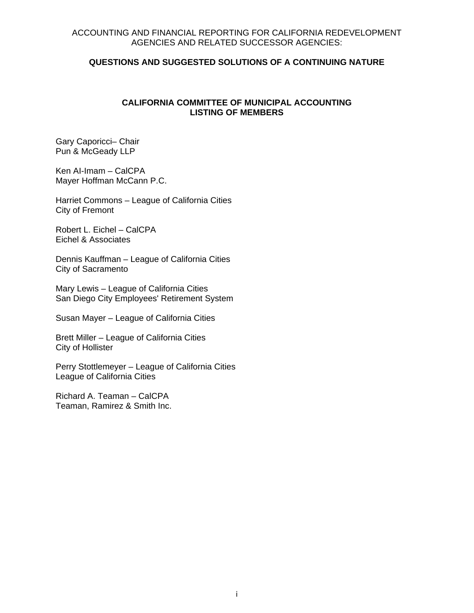#### **QUESTIONS AND SUGGESTED SOLUTIONS OF A CONTINUING NATURE**

### **CALIFORNIA COMMITTEE OF MUNICIPAL ACCOUNTING LISTING OF MEMBERS**

Gary Caporicci– Chair Pun & McGeady LLP

Ken AI-Imam – CalCPA Mayer Hoffman McCann P.C.

Harriet Commons – League of California Cities City of Fremont

Robert L. Eichel – CalCPA Eichel & Associates

Dennis Kauffman – League of California Cities City of Sacramento

Mary Lewis – League of California Cities San Diego City Employees' Retirement System

Susan Mayer – League of California Cities

Brett Miller – League of California Cities City of Hollister

Perry Stottlemeyer – League of California Cities League of California Cities

Richard A. Teaman – CalCPA Teaman, Ramirez & Smith Inc.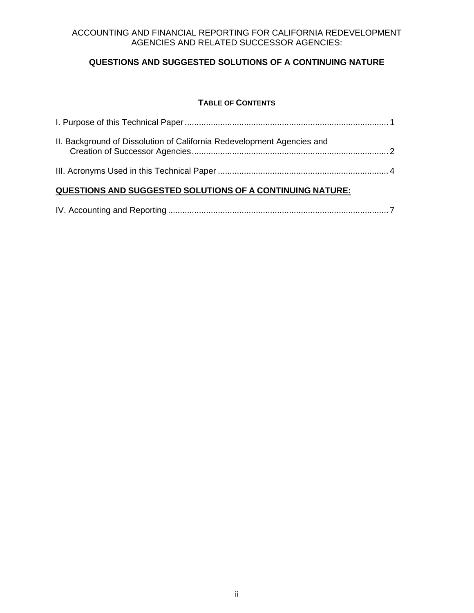# **QUESTIONS AND SUGGESTED SOLUTIONS OF A CONTINUING NATURE**

### **TABLE OF CONTENTS**

| II. Background of Dissolution of California Redevelopment Agencies and |  |
|------------------------------------------------------------------------|--|
|                                                                        |  |

# **QUESTIONS AND SUGGESTED SOLUTIONS OF A CONTINUING NATURE:**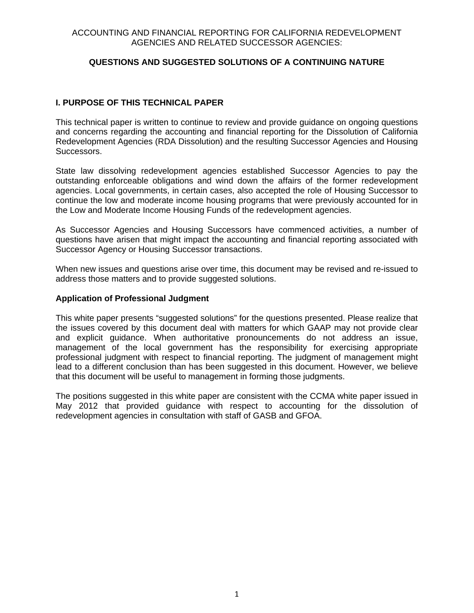# **QUESTIONS AND SUGGESTED SOLUTIONS OF A CONTINUING NATURE**

### **I. PURPOSE OF THIS TECHNICAL PAPER**

This technical paper is written to continue to review and provide guidance on ongoing questions and concerns regarding the accounting and financial reporting for the Dissolution of California Redevelopment Agencies (RDA Dissolution) and the resulting Successor Agencies and Housing Successors.

State law dissolving redevelopment agencies established Successor Agencies to pay the outstanding enforceable obligations and wind down the affairs of the former redevelopment agencies. Local governments, in certain cases, also accepted the role of Housing Successor to continue the low and moderate income housing programs that were previously accounted for in the Low and Moderate Income Housing Funds of the redevelopment agencies.

As Successor Agencies and Housing Successors have commenced activities, a number of questions have arisen that might impact the accounting and financial reporting associated with Successor Agency or Housing Successor transactions.

When new issues and questions arise over time, this document may be revised and re-issued to address those matters and to provide suggested solutions.

#### **Application of Professional Judgment**

This white paper presents "suggested solutions" for the questions presented. Please realize that the issues covered by this document deal with matters for which GAAP may not provide clear and explicit guidance. When authoritative pronouncements do not address an issue, management of the local government has the responsibility for exercising appropriate professional judgment with respect to financial reporting. The judgment of management might lead to a different conclusion than has been suggested in this document. However, we believe that this document will be useful to management in forming those judgments.

The positions suggested in this white paper are consistent with the CCMA white paper issued in May 2012 that provided guidance with respect to accounting for the dissolution of redevelopment agencies in consultation with staff of GASB and GFOA.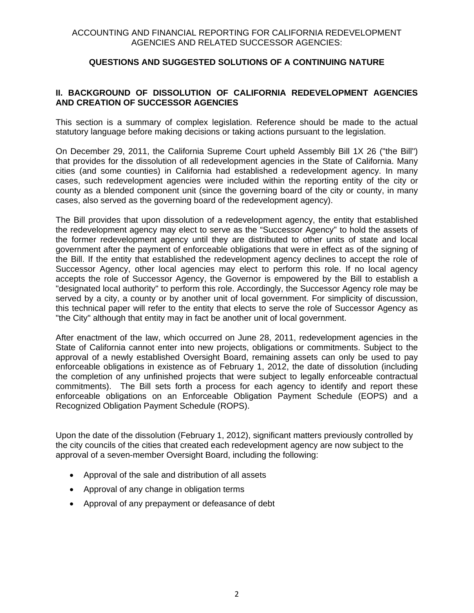# **II. BACKGROUND OF DISSOLUTION OF CALIFORNIA REDEVELOPMENT AGENCIES AND CREATION OF SUCCESSOR AGENCIES**

This section is a summary of complex legislation. Reference should be made to the actual statutory language before making decisions or taking actions pursuant to the legislation.

On December 29, 2011, the California Supreme Court upheld Assembly Bill 1X 26 ("the Bill") that provides for the dissolution of all redevelopment agencies in the State of California. Many cities (and some counties) in California had established a redevelopment agency. In many cases, such redevelopment agencies were included within the reporting entity of the city or county as a blended component unit (since the governing board of the city or county, in many cases, also served as the governing board of the redevelopment agency).

The Bill provides that upon dissolution of a redevelopment agency, the entity that established the redevelopment agency may elect to serve as the "Successor Agency" to hold the assets of the former redevelopment agency until they are distributed to other units of state and local government after the payment of enforceable obligations that were in effect as of the signing of the Bill. If the entity that established the redevelopment agency declines to accept the role of Successor Agency, other local agencies may elect to perform this role. If no local agency accepts the role of Successor Agency, the Governor is empowered by the Bill to establish a "designated local authority" to perform this role. Accordingly, the Successor Agency role may be served by a city, a county or by another unit of local government. For simplicity of discussion, this technical paper will refer to the entity that elects to serve the role of Successor Agency as "the City" although that entity may in fact be another unit of local government.

After enactment of the law, which occurred on June 28, 2011, redevelopment agencies in the State of California cannot enter into new projects, obligations or commitments. Subject to the approval of a newly established Oversight Board, remaining assets can only be used to pay enforceable obligations in existence as of February 1, 2012, the date of dissolution (including the completion of any unfinished projects that were subject to legally enforceable contractual commitments). The Bill sets forth a process for each agency to identify and report these enforceable obligations on an Enforceable Obligation Payment Schedule (EOPS) and a Recognized Obligation Payment Schedule (ROPS).

Upon the date of the dissolution (February 1, 2012), significant matters previously controlled by the city councils of the cities that created each redevelopment agency are now subject to the approval of a seven-member Oversight Board, including the following:

- Approval of the sale and distribution of all assets
- Approval of any change in obligation terms
- Approval of any prepayment or defeasance of debt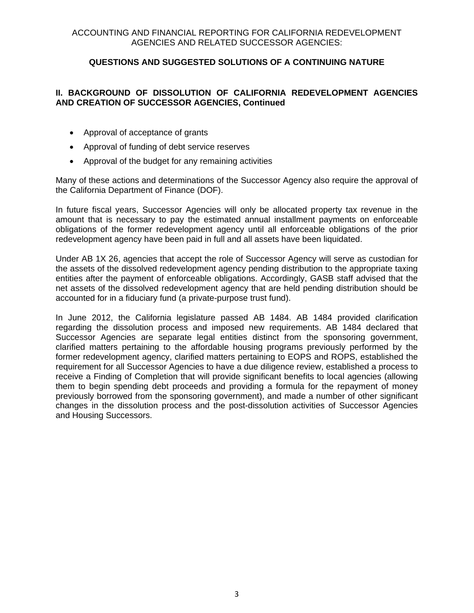# **II. BACKGROUND OF DISSOLUTION OF CALIFORNIA REDEVELOPMENT AGENCIES AND CREATION OF SUCCESSOR AGENCIES, Continued**

- Approval of acceptance of grants
- Approval of funding of debt service reserves
- Approval of the budget for any remaining activities

Many of these actions and determinations of the Successor Agency also require the approval of the California Department of Finance (DOF).

In future fiscal years, Successor Agencies will only be allocated property tax revenue in the amount that is necessary to pay the estimated annual installment payments on enforceable obligations of the former redevelopment agency until all enforceable obligations of the prior redevelopment agency have been paid in full and all assets have been liquidated.

Under AB 1X 26, agencies that accept the role of Successor Agency will serve as custodian for the assets of the dissolved redevelopment agency pending distribution to the appropriate taxing entities after the payment of enforceable obligations. Accordingly, GASB staff advised that the net assets of the dissolved redevelopment agency that are held pending distribution should be accounted for in a fiduciary fund (a private-purpose trust fund).

In June 2012, the California legislature passed AB 1484. AB 1484 provided clarification regarding the dissolution process and imposed new requirements. AB 1484 declared that Successor Agencies are separate legal entities distinct from the sponsoring government, clarified matters pertaining to the affordable housing programs previously performed by the former redevelopment agency, clarified matters pertaining to EOPS and ROPS, established the requirement for all Successor Agencies to have a due diligence review, established a process to receive a Finding of Completion that will provide significant benefits to local agencies (allowing them to begin spending debt proceeds and providing a formula for the repayment of money previously borrowed from the sponsoring government), and made a number of other significant changes in the dissolution process and the post-dissolution activities of Successor Agencies and Housing Successors.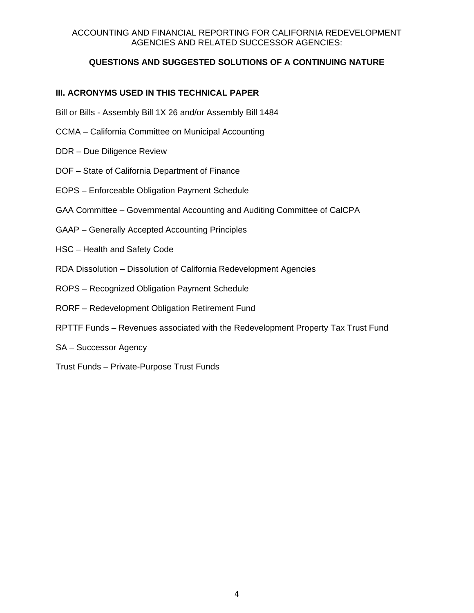# **QUESTIONS AND SUGGESTED SOLUTIONS OF A CONTINUING NATURE**

# **III. ACRONYMS USED IN THIS TECHNICAL PAPER**

- Bill or Bills Assembly Bill 1X 26 and/or Assembly Bill 1484
- CCMA California Committee on Municipal Accounting
- DDR Due Diligence Review
- DOF State of California Department of Finance
- EOPS Enforceable Obligation Payment Schedule
- GAA Committee Governmental Accounting and Auditing Committee of CalCPA
- GAAP Generally Accepted Accounting Principles
- HSC Health and Safety Code
- RDA Dissolution Dissolution of California Redevelopment Agencies
- ROPS Recognized Obligation Payment Schedule
- RORF Redevelopment Obligation Retirement Fund
- RPTTF Funds Revenues associated with the Redevelopment Property Tax Trust Fund
- SA Successor Agency
- Trust Funds Private-Purpose Trust Funds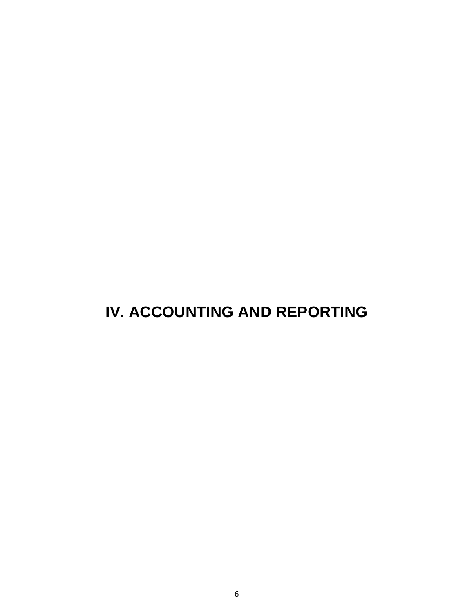# **IV. ACCOUNTING AND REPORTING**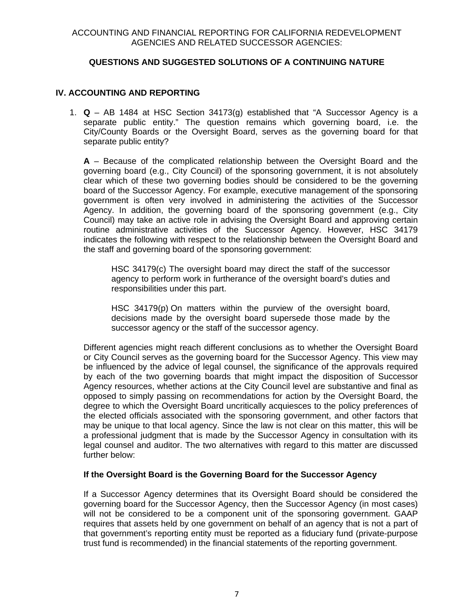# **IV. ACCOUNTING AND REPORTING**

1. **Q** – AB 1484 at HSC Section 34173(g) established that "A Successor Agency is a separate public entity." The question remains which governing board, i.e. the City/County Boards or the Oversight Board, serves as the governing board for that separate public entity?

**A** – Because of the complicated relationship between the Oversight Board and the governing board (e.g., City Council) of the sponsoring government, it is not absolutely clear which of these two governing bodies should be considered to be the governing board of the Successor Agency. For example, executive management of the sponsoring government is often very involved in administering the activities of the Successor Agency. In addition, the governing board of the sponsoring government (e.g., City Council) may take an active role in advising the Oversight Board and approving certain routine administrative activities of the Successor Agency. However, HSC 34179 indicates the following with respect to the relationship between the Oversight Board and the staff and governing board of the sponsoring government:

HSC 34179(c) The oversight board may direct the staff of the successor agency to perform work in furtherance of the oversight board's duties and responsibilities under this part.

HSC 34179(p) On matters within the purview of the oversight board, decisions made by the oversight board supersede those made by the successor agency or the staff of the successor agency.

Different agencies might reach different conclusions as to whether the Oversight Board or City Council serves as the governing board for the Successor Agency. This view may be influenced by the advice of legal counsel, the significance of the approvals required by each of the two governing boards that might impact the disposition of Successor Agency resources, whether actions at the City Council level are substantive and final as opposed to simply passing on recommendations for action by the Oversight Board, the degree to which the Oversight Board uncritically acquiesces to the policy preferences of the elected officials associated with the sponsoring government, and other factors that may be unique to that local agency. Since the law is not clear on this matter, this will be a professional judgment that is made by the Successor Agency in consultation with its legal counsel and auditor. The two alternatives with regard to this matter are discussed further below:

# **If the Oversight Board is the Governing Board for the Successor Agency**

If a Successor Agency determines that its Oversight Board should be considered the governing board for the Successor Agency, then the Successor Agency (in most cases) will not be considered to be a component unit of the sponsoring government. GAAP requires that assets held by one government on behalf of an agency that is not a part of that government's reporting entity must be reported as a fiduciary fund (private-purpose trust fund is recommended) in the financial statements of the reporting government.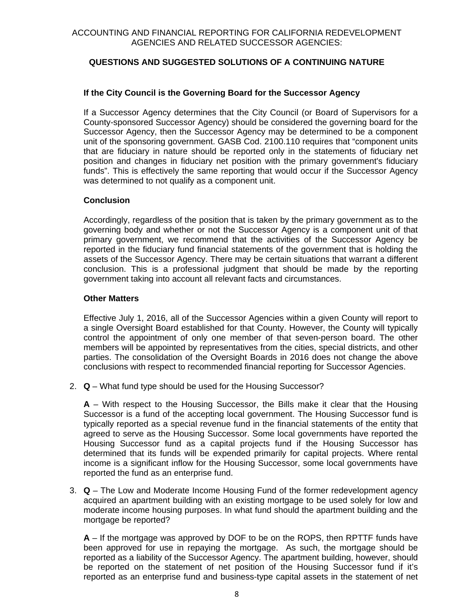# **If the City Council is the Governing Board for the Successor Agency**

If a Successor Agency determines that the City Council (or Board of Supervisors for a County-sponsored Successor Agency) should be considered the governing board for the Successor Agency, then the Successor Agency may be determined to be a component unit of the sponsoring government. GASB Cod. 2100.110 requires that "component units that are fiduciary in nature should be reported only in the statements of fiduciary net position and changes in fiduciary net position with the primary government's fiduciary funds". This is effectively the same reporting that would occur if the Successor Agency was determined to not qualify as a component unit.

# **Conclusion**

Accordingly, regardless of the position that is taken by the primary government as to the governing body and whether or not the Successor Agency is a component unit of that primary government, we recommend that the activities of the Successor Agency be reported in the fiduciary fund financial statements of the government that is holding the assets of the Successor Agency. There may be certain situations that warrant a different conclusion. This is a professional judgment that should be made by the reporting government taking into account all relevant facts and circumstances.

### **Other Matters**

Effective July 1, 2016, all of the Successor Agencies within a given County will report to a single Oversight Board established for that County. However, the County will typically control the appointment of only one member of that seven-person board. The other members will be appointed by representatives from the cities, special districts, and other parties. The consolidation of the Oversight Boards in 2016 does not change the above conclusions with respect to recommended financial reporting for Successor Agencies.

2. **Q** – What fund type should be used for the Housing Successor?

**A** – With respect to the Housing Successor, the Bills make it clear that the Housing Successor is a fund of the accepting local government. The Housing Successor fund is typically reported as a special revenue fund in the financial statements of the entity that agreed to serve as the Housing Successor. Some local governments have reported the Housing Successor fund as a capital projects fund if the Housing Successor has determined that its funds will be expended primarily for capital projects. Where rental income is a significant inflow for the Housing Successor, some local governments have reported the fund as an enterprise fund.

3. **Q** – The Low and Moderate Income Housing Fund of the former redevelopment agency acquired an apartment building with an existing mortgage to be used solely for low and moderate income housing purposes. In what fund should the apartment building and the mortgage be reported?

**A** – If the mortgage was approved by DOF to be on the ROPS, then RPTTF funds have been approved for use in repaying the mortgage. As such, the mortgage should be reported as a liability of the Successor Agency. The apartment building, however, should be reported on the statement of net position of the Housing Successor fund if it's reported as an enterprise fund and business-type capital assets in the statement of net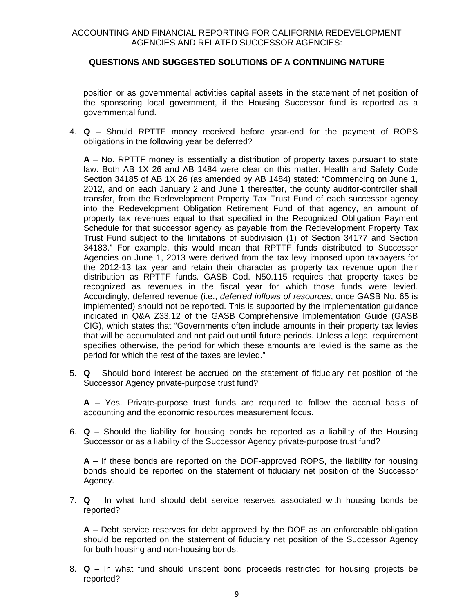position or as governmental activities capital assets in the statement of net position of the sponsoring local government, if the Housing Successor fund is reported as a governmental fund.

4. **Q** – Should RPTTF money received before year-end for the payment of ROPS obligations in the following year be deferred?

**A** – No. RPTTF money is essentially a distribution of property taxes pursuant to state law. Both AB 1X 26 and AB 1484 were clear on this matter. Health and Safety Code Section 34185 of AB 1X 26 (as amended by AB 1484) stated: "Commencing on June 1, 2012, and on each January 2 and June 1 thereafter, the county auditor-controller shall transfer, from the Redevelopment Property Tax Trust Fund of each successor agency into the Redevelopment Obligation Retirement Fund of that agency, an amount of property tax revenues equal to that specified in the Recognized Obligation Payment Schedule for that successor agency as payable from the Redevelopment Property Tax Trust Fund subject to the limitations of subdivision (1) of Section 34177 and Section 34183." For example, this would mean that RPTTF funds distributed to Successor Agencies on June 1, 2013 were derived from the tax levy imposed upon taxpayers for the 2012-13 tax year and retain their character as property tax revenue upon their distribution as RPTTF funds. GASB Cod. N50.115 requires that property taxes be recognized as revenues in the fiscal year for which those funds were levied. Accordingly, deferred revenue (i.e., *deferred inflows of resources*, once GASB No. 65 is implemented) should not be reported. This is supported by the implementation guidance indicated in Q&A Z33.12 of the GASB Comprehensive Implementation Guide (GASB CIG), which states that "Governments often include amounts in their property tax levies that will be accumulated and not paid out until future periods. Unless a legal requirement specifies otherwise, the period for which these amounts are levied is the same as the period for which the rest of the taxes are levied."

5. **Q** – Should bond interest be accrued on the statement of fiduciary net position of the Successor Agency private-purpose trust fund?

**A** – Yes. Private-purpose trust funds are required to follow the accrual basis of accounting and the economic resources measurement focus.

6. **Q** – Should the liability for housing bonds be reported as a liability of the Housing Successor or as a liability of the Successor Agency private-purpose trust fund?

**A** – If these bonds are reported on the DOF-approved ROPS, the liability for housing bonds should be reported on the statement of fiduciary net position of the Successor Agency.

7. **Q** – In what fund should debt service reserves associated with housing bonds be reported?

**A** – Debt service reserves for debt approved by the DOF as an enforceable obligation should be reported on the statement of fiduciary net position of the Successor Agency for both housing and non-housing bonds.

8. **Q** – In what fund should unspent bond proceeds restricted for housing projects be reported?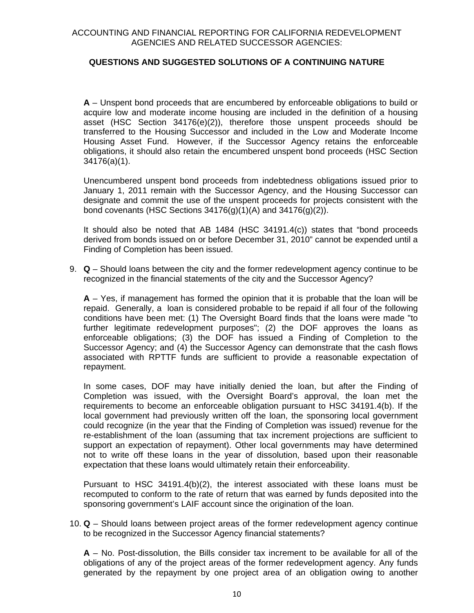**A** – Unspent bond proceeds that are encumbered by enforceable obligations to build or acquire low and moderate income housing are included in the definition of a housing asset (HSC Section 34176(e)(2)), therefore those unspent proceeds should be transferred to the Housing Successor and included in the Low and Moderate Income Housing Asset Fund. However, if the Successor Agency retains the enforceable obligations, it should also retain the encumbered unspent bond proceeds (HSC Section 34176(a)(1).

Unencumbered unspent bond proceeds from indebtedness obligations issued prior to January 1, 2011 remain with the Successor Agency, and the Housing Successor can designate and commit the use of the unspent proceeds for projects consistent with the bond covenants (HSC Sections  $34176(q)(1)(A)$  and  $34176(q)(2)$ ).

It should also be noted that AB 1484 (HSC 34191.4(c)) states that "bond proceeds derived from bonds issued on or before December 31, 2010" cannot be expended until a Finding of Completion has been issued.

9. **Q** – Should loans between the city and the former redevelopment agency continue to be recognized in the financial statements of the city and the Successor Agency?

**A** – Yes, if management has formed the opinion that it is probable that the loan will be repaid. Generally, a loan is considered probable to be repaid if all four of the following conditions have been met: (1) The Oversight Board finds that the loans were made "to further legitimate redevelopment purposes"; (2) the DOF approves the loans as enforceable obligations; (3) the DOF has issued a Finding of Completion to the Successor Agency; and (4) the Successor Agency can demonstrate that the cash flows associated with RPTTF funds are sufficient to provide a reasonable expectation of repayment.

In some cases, DOF may have initially denied the loan, but after the Finding of Completion was issued, with the Oversight Board's approval, the loan met the requirements to become an enforceable obligation pursuant to HSC 34191.4(b). If the local government had previously written off the loan, the sponsoring local government could recognize (in the year that the Finding of Completion was issued) revenue for the re-establishment of the loan (assuming that tax increment projections are sufficient to support an expectation of repayment). Other local governments may have determined not to write off these loans in the year of dissolution, based upon their reasonable expectation that these loans would ultimately retain their enforceability.

Pursuant to HSC 34191.4(b)(2), the interest associated with these loans must be recomputed to conform to the rate of return that was earned by funds deposited into the sponsoring government's LAIF account since the origination of the loan.

10. **Q** – Should loans between project areas of the former redevelopment agency continue to be recognized in the Successor Agency financial statements?

**A** – No. Post-dissolution, the Bills consider tax increment to be available for all of the obligations of any of the project areas of the former redevelopment agency. Any funds generated by the repayment by one project area of an obligation owing to another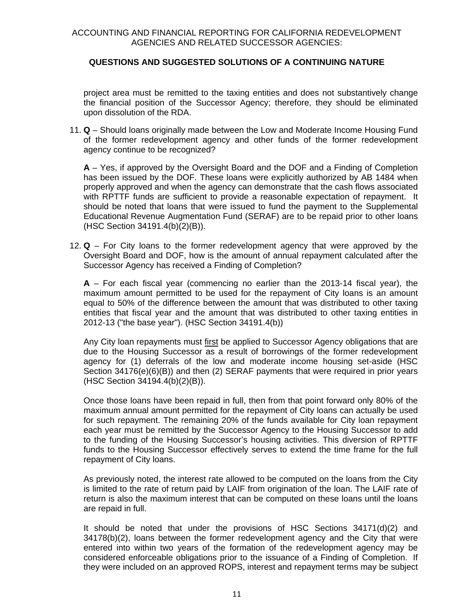project area must be remitted to the taxing entities and does not substantively change the financial position of the Successor Agency; therefore, they should be eliminated upon dissolution of the RDA.

11. **Q** – Should loans originally made between the Low and Moderate Income Housing Fund of the former redevelopment agency and other funds of the former redevelopment agency continue to be recognized?

**A** – Yes, if approved by the Oversight Board and the DOF and a Finding of Completion has been issued by the DOF. These loans were explicitly authorized by AB 1484 when properly approved and when the agency can demonstrate that the cash flows associated with RPTTF funds are sufficient to provide a reasonable expectation of repayment. It should be noted that loans that were issued to fund the payment to the Supplemental Educational Revenue Augmentation Fund (SERAF) are to be repaid prior to other loans (HSC Section 34191.4(b)(2)(B)).

12. **Q** – For City loans to the former redevelopment agency that were approved by the Oversight Board and DOF, how is the amount of annual repayment calculated after the Successor Agency has received a Finding of Completion?

**A** – For each fiscal year (commencing no earlier than the 2013-14 fiscal year), the maximum amount permitted to be used for the repayment of City loans is an amount equal to 50% of the difference between the amount that was distributed to other taxing entities that fiscal year and the amount that was distributed to other taxing entities in 2012-13 ("the base year"). (HSC Section 34191.4(b))

Any City loan repayments must first be applied to Successor Agency obligations that are due to the Housing Successor as a result of borrowings of the former redevelopment agency for (1) deferrals of the low and moderate income housing set-aside (HSC Section 34176(e)(6)(B)) and then (2) SERAF payments that were required in prior years (HSC Section 34194.4(b)(2)(B)).

Once those loans have been repaid in full, then from that point forward only 80% of the maximum annual amount permitted for the repayment of City loans can actually be used for such repayment. The remaining 20% of the funds available for City loan repayment each year must be remitted by the Successor Agency to the Housing Successor to add to the funding of the Housing Successor's housing activities. This diversion of RPTTF funds to the Housing Successor effectively serves to extend the time frame for the full repayment of City loans.

As previously noted, the interest rate allowed to be computed on the loans from the City is limited to the rate of return paid by LAIF from origination of the loan. The LAIF rate of return is also the maximum interest that can be computed on these loans until the loans are repaid in full.

It should be noted that under the provisions of HSC Sections 34171(d)(2) and 34178(b)(2), loans between the former redevelopment agency and the City that were entered into within two years of the formation of the redevelopment agency may be considered enforceable obligations prior to the issuance of a Finding of Completion. If they were included on an approved ROPS, interest and repayment terms may be subject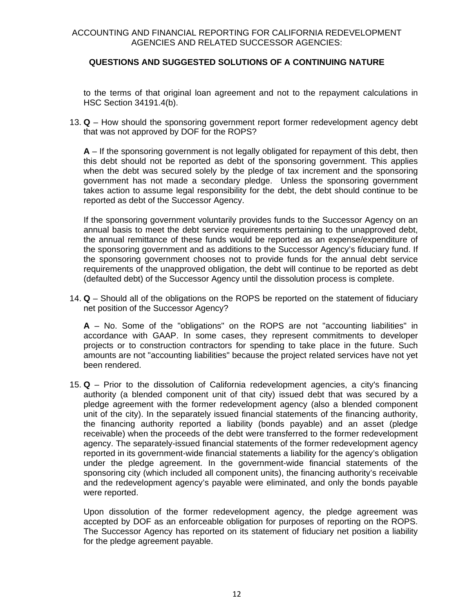# **QUESTIONS AND SUGGESTED SOLUTIONS OF A CONTINUING NATURE**

to the terms of that original loan agreement and not to the repayment calculations in HSC Section 34191.4(b).

13. **Q** – How should the sponsoring government report former redevelopment agency debt that was not approved by DOF for the ROPS?

**A** – If the sponsoring government is not legally obligated for repayment of this debt, then this debt should not be reported as debt of the sponsoring government. This applies when the debt was secured solely by the pledge of tax increment and the sponsoring government has not made a secondary pledge. Unless the sponsoring government takes action to assume legal responsibility for the debt, the debt should continue to be reported as debt of the Successor Agency.

If the sponsoring government voluntarily provides funds to the Successor Agency on an annual basis to meet the debt service requirements pertaining to the unapproved debt, the annual remittance of these funds would be reported as an expense/expenditure of the sponsoring government and as additions to the Successor Agency's fiduciary fund. If the sponsoring government chooses not to provide funds for the annual debt service requirements of the unapproved obligation, the debt will continue to be reported as debt (defaulted debt) of the Successor Agency until the dissolution process is complete.

14. **Q** – Should all of the obligations on the ROPS be reported on the statement of fiduciary net position of the Successor Agency?

**A** – No. Some of the "obligations" on the ROPS are not "accounting liabilities" in accordance with GAAP. In some cases, they represent commitments to developer projects or to construction contractors for spending to take place in the future. Such amounts are not "accounting liabilities" because the project related services have not yet been rendered.

15. **Q** – Prior to the dissolution of California redevelopment agencies, a city's financing authority (a blended component unit of that city) issued debt that was secured by a pledge agreement with the former redevelopment agency (also a blended component unit of the city). In the separately issued financial statements of the financing authority, the financing authority reported a liability (bonds payable) and an asset (pledge receivable) when the proceeds of the debt were transferred to the former redevelopment agency. The separately-issued financial statements of the former redevelopment agency reported in its government-wide financial statements a liability for the agency's obligation under the pledge agreement. In the government-wide financial statements of the sponsoring city (which included all component units), the financing authority's receivable and the redevelopment agency's payable were eliminated, and only the bonds payable were reported.

Upon dissolution of the former redevelopment agency, the pledge agreement was accepted by DOF as an enforceable obligation for purposes of reporting on the ROPS. The Successor Agency has reported on its statement of fiduciary net position a liability for the pledge agreement payable.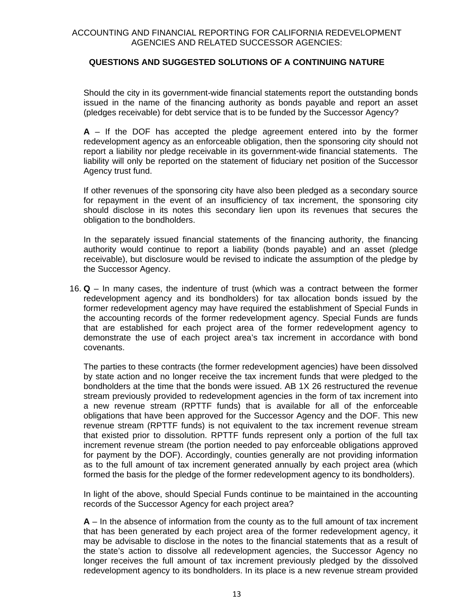Should the city in its government-wide financial statements report the outstanding bonds issued in the name of the financing authority as bonds payable and report an asset (pledges receivable) for debt service that is to be funded by the Successor Agency?

**A** – If the DOF has accepted the pledge agreement entered into by the former redevelopment agency as an enforceable obligation, then the sponsoring city should not report a liability nor pledge receivable in its government-wide financial statements. The liability will only be reported on the statement of fiduciary net position of the Successor Agency trust fund.

If other revenues of the sponsoring city have also been pledged as a secondary source for repayment in the event of an insufficiency of tax increment, the sponsoring city should disclose in its notes this secondary lien upon its revenues that secures the obligation to the bondholders.

In the separately issued financial statements of the financing authority, the financing authority would continue to report a liability (bonds payable) and an asset (pledge receivable), but disclosure would be revised to indicate the assumption of the pledge by the Successor Agency.

16. **Q** – In many cases, the indenture of trust (which was a contract between the former redevelopment agency and its bondholders) for tax allocation bonds issued by the former redevelopment agency may have required the establishment of Special Funds in the accounting records of the former redevelopment agency. Special Funds are funds that are established for each project area of the former redevelopment agency to demonstrate the use of each project area's tax increment in accordance with bond covenants.

The parties to these contracts (the former redevelopment agencies) have been dissolved by state action and no longer receive the tax increment funds that were pledged to the bondholders at the time that the bonds were issued. AB 1X 26 restructured the revenue stream previously provided to redevelopment agencies in the form of tax increment into a new revenue stream (RPTTF funds) that is available for all of the enforceable obligations that have been approved for the Successor Agency and the DOF. This new revenue stream (RPTTF funds) is not equivalent to the tax increment revenue stream that existed prior to dissolution. RPTTF funds represent only a portion of the full tax increment revenue stream (the portion needed to pay enforceable obligations approved for payment by the DOF). Accordingly, counties generally are not providing information as to the full amount of tax increment generated annually by each project area (which formed the basis for the pledge of the former redevelopment agency to its bondholders).

In light of the above, should Special Funds continue to be maintained in the accounting records of the Successor Agency for each project area?

**A** – In the absence of information from the county as to the full amount of tax increment that has been generated by each project area of the former redevelopment agency, it may be advisable to disclose in the notes to the financial statements that as a result of the state's action to dissolve all redevelopment agencies, the Successor Agency no longer receives the full amount of tax increment previously pledged by the dissolved redevelopment agency to its bondholders. In its place is a new revenue stream provided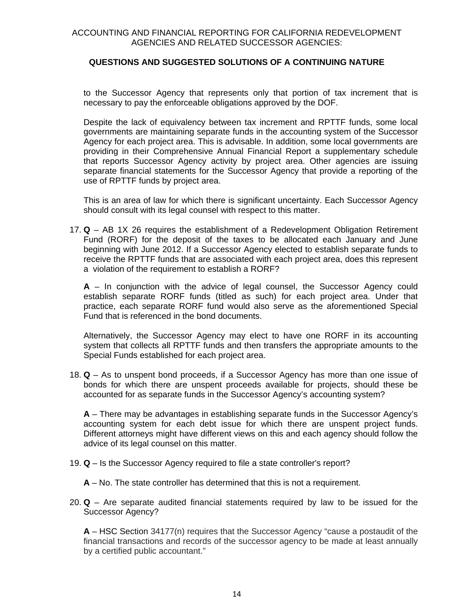to the Successor Agency that represents only that portion of tax increment that is necessary to pay the enforceable obligations approved by the DOF.

Despite the lack of equivalency between tax increment and RPTTF funds, some local governments are maintaining separate funds in the accounting system of the Successor Agency for each project area. This is advisable. In addition, some local governments are providing in their Comprehensive Annual Financial Report a supplementary schedule that reports Successor Agency activity by project area. Other agencies are issuing separate financial statements for the Successor Agency that provide a reporting of the use of RPTTF funds by project area.

This is an area of law for which there is significant uncertainty. Each Successor Agency should consult with its legal counsel with respect to this matter.

17. **Q** – AB 1X 26 requires the establishment of a Redevelopment Obligation Retirement Fund (RORF) for the deposit of the taxes to be allocated each January and June beginning with June 2012. If a Successor Agency elected to establish separate funds to receive the RPTTF funds that are associated with each project area, does this represent a violation of the requirement to establish a RORF?

**A** – In conjunction with the advice of legal counsel, the Successor Agency could establish separate RORF funds (titled as such) for each project area. Under that practice, each separate RORF fund would also serve as the aforementioned Special Fund that is referenced in the bond documents.

Alternatively, the Successor Agency may elect to have one RORF in its accounting system that collects all RPTTF funds and then transfers the appropriate amounts to the Special Funds established for each project area.

18. **Q** – As to unspent bond proceeds, if a Successor Agency has more than one issue of bonds for which there are unspent proceeds available for projects, should these be accounted for as separate funds in the Successor Agency's accounting system?

**A** – There may be advantages in establishing separate funds in the Successor Agency's accounting system for each debt issue for which there are unspent project funds. Different attorneys might have different views on this and each agency should follow the advice of its legal counsel on this matter.

- 19. **Q** Is the Successor Agency required to file a state controller's report?
	- **A** No. The state controller has determined that this is not a requirement.
- 20. **Q** Are separate audited financial statements required by law to be issued for the Successor Agency?

**A** – HSC Section 34177(n) requires that the Successor Agency "cause a postaudit of the financial transactions and records of the successor agency to be made at least annually by a certified public accountant."